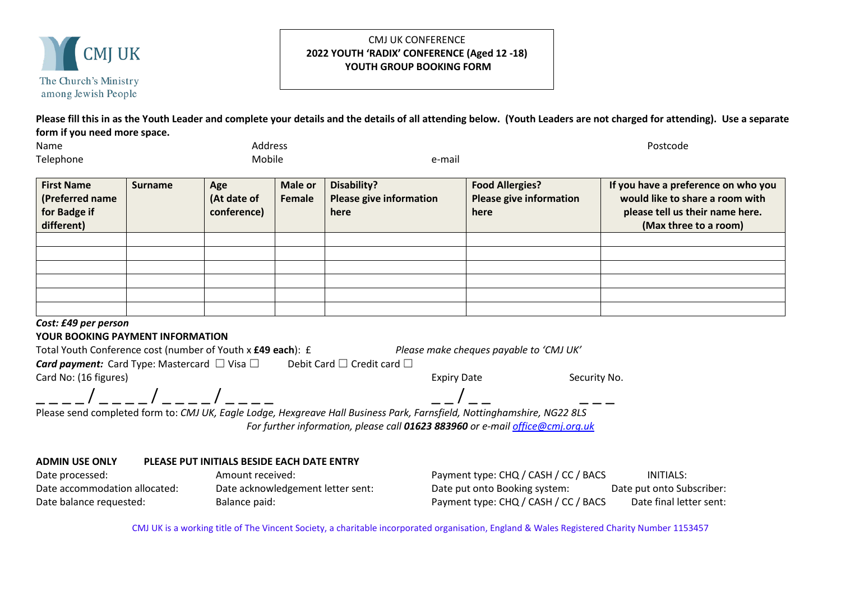

## CMJ UK CONFERENCE **2022 YOUTH 'RADIX' CONFERENCE (Aged 12 -18) YOUTH GROUP BOOKING FORM**

**Please fill this in as the Youth Leader and complete your details and the details of all attending below. (Youth Leaders are not charged for attending). Use a separate form if you need more space.**

| Name      | Address |         | Postcode |
|-----------|---------|---------|----------|
|           |         |         |          |
| Telephone | Mobile  | e-mail  |          |
| ___       | .       | _______ |          |

| <b>First Name</b><br>(Preferred name | <b>Surname</b> | Age<br>(At date of | Male or<br>Female | Disability?<br><b>Please give information</b> | <b>Food Allergies?</b><br><b>Please give information</b> | If you have a preference on who you<br>would like to share a room with |
|--------------------------------------|----------------|--------------------|-------------------|-----------------------------------------------|----------------------------------------------------------|------------------------------------------------------------------------|
| for Badge if                         |                | conference)        |                   | here                                          | here                                                     | please tell us their name here.                                        |
| different)                           |                |                    |                   |                                               |                                                          | (Max three to a room)                                                  |
|                                      |                |                    |                   |                                               |                                                          |                                                                        |
|                                      |                |                    |                   |                                               |                                                          |                                                                        |
|                                      |                |                    |                   |                                               |                                                          |                                                                        |
|                                      |                |                    |                   |                                               |                                                          |                                                                        |
|                                      |                |                    |                   |                                               |                                                          |                                                                        |
|                                      |                |                    |                   |                                               |                                                          |                                                                        |

## *Cost: £49 per person*

## **YOUR BOOKING PAYMENT INFORMATION**

| Total Youth Conference cost (number of Youth x £49 each): £                                                             | Please make cheques payable to 'CMJ UK'    |              |
|-------------------------------------------------------------------------------------------------------------------------|--------------------------------------------|--------------|
| <b>Card payment:</b> Card Type: Mastercard $\Box$ Visa $\Box$                                                           | Debit Card $\square$ Credit card $\square$ |              |
| Card No: (16 figures)                                                                                                   | <b>Expiry Date</b>                         | Security No. |
| $\sqrt{2}$                                                                                                              |                                            |              |
| Please send completed form to: CMJ UK, Eagle Lodge, Hexgreave Hall Business Park, Farnsfield, Nottinghamshire, NG22 8LS |                                            |              |

*For further information, please call 01623 883960 or e-mail [office@cmj.org.uk](mailto:office@cmj.org.uk)*

## **ADMIN USE ONLY PLEASE PUT INITIALS BESIDE EACH DATE ENTRY**

| Date processed:               | Amount received:                  | Payment type: CHQ / CASH / CC / BACS | INITIALS:                 |
|-------------------------------|-----------------------------------|--------------------------------------|---------------------------|
| Date accommodation allocated: | Date acknowledgement letter sent: | Date put onto Booking system:        | Date put onto Subscriber: |
| Date balance requested:       | Balance paid:                     | Payment type: CHQ / CASH / CC / BACS | Date final letter sent:   |

CMJ UK is a working title of The Vincent Society, a charitable incorporated organisation, England & Wales Registered Charity Number 1153457